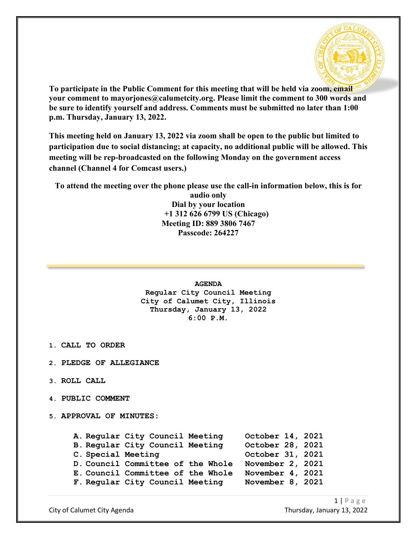

**To participate in the Public Comment for this meeting that will be held via zoom, email your comment to mayorjones@calumetcity.org. Please limit the comment to 300 words and be sure to identify yourself and address. Comments must be submitted no later than 1:00 p.m. Thursday, January 13, 2022.**

**This meeting held on January 13, 2022 via zoom shall be open to the public but limited to participation due to social distancing; at capacity, no additional public will be allowed. This meeting will be rep-broadcasted on the following Monday on the government access channel (Channel 4 for Comcast users.)**

**To attend the meeting over the phone please use the call-in information below, this is for** 

**audio only Dial by your location +1 312 626 6799 US (Chicago) Meeting ID: 889 3806 7467 Passcode: 264227**

## **AGENDA**

# **Regular City Council Meeting City of Calumet City, Illinois Thursday, January 13, 2022 6:00 P.M.**

- **1. CALL TO ORDER**
- **2. PLEDGE OF ALLEGIANCE**
- **3. ROLL CALL**
- **4. PUBLIC COMMENT**
- **5. APPROVAL OF MINUTES:**

|                    | A. Regular City Council Meeting   | October 14, 2021 |  |
|--------------------|-----------------------------------|------------------|--|
|                    | B. Regular City Council Meeting   | October 28, 2021 |  |
| C. Special Meeting |                                   | October 31, 2021 |  |
|                    | D. Council Committee of the Whole | November 2, 2021 |  |
|                    | E. Council Committee of the Whole | November 4, 2021 |  |
|                    | F. Regular City Council Meeting   | November 8, 2021 |  |
|                    |                                   |                  |  |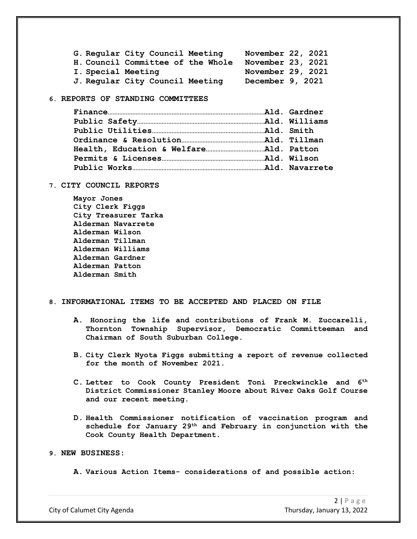|                    | G. Regular City Council Meeting   | November 22, 2021 |  |
|--------------------|-----------------------------------|-------------------|--|
|                    | H. Council Committee of the Whole | November 23, 2021 |  |
| I. Special Meeting |                                   | November 29, 2021 |  |
|                    | J. Regular City Council Meeting   | December 9, 2021  |  |

#### **6. REPORTS OF STANDING COMMITTEES**

#### **7. CITY COUNCIL REPORTS**

**Mayor Jones City Clerk Figgs City Treasurer Tarka Alderman Navarrete Alderman Wilson Alderman Tillman Alderman Williams Alderman Gardner Alderman Patton Alderman Smith**

#### **8. INFORMATIONAL ITEMS TO BE ACCEPTED AND PLACED ON FILE**

- **A. Honoring the life and contributions of Frank M. Zuccarelli, Thornton Township Supervisor, Democratic Committeeman and Chairman of South Suburban College.**
- **B. City Clerk Nyota Figgs submitting a report of revenue collected for the month of November 2021.**
- **C. Letter to Cook County President Toni Preckwinckle and 6th District Commissioner Stanley Moore about River Oaks Golf Course and our recent meeting.**
- **D. Health Commissioner notification of vaccination program and schedule for January 29th and February in conjunction with the Cook County Health Department.**

## **9. NEW BUSINESS:**

**A. Various Action Items- considerations of and possible action:**

City of Calumet City Agenda Thursday, January 13, 2022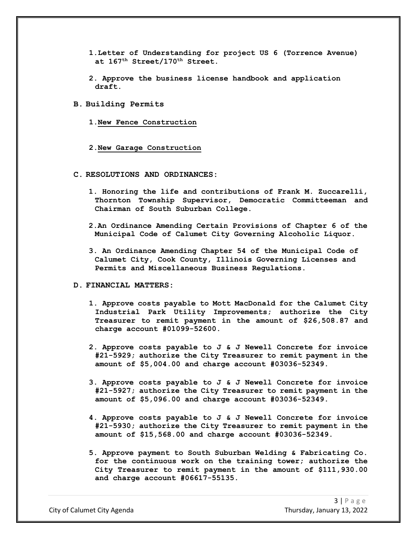- **1.Letter of Understanding for project US 6 (Torrence Avenue) at 167th Street/170th Street.**
- **2. Approve the business license handbook and application draft.**
- **B. Building Permits**
	- **1.New Fence Construction**
	- **2.New Garage Construction**
- **C. RESOLUTIONS AND ORDINANCES:**
	- **1. Honoring the life and contributions of Frank M. Zuccarelli, Thornton Township Supervisor, Democratic Committeeman and Chairman of South Suburban College.**
	- **2.An Ordinance Amending Certain Provisions of Chapter 6 of the Municipal Code of Calumet City Governing Alcoholic Liquor.**
	- **3. An Ordinance Amending Chapter 54 of the Municipal Code of Calumet City, Cook County, Illinois Governing Licenses and Permits and Miscellaneous Business Regulations.**

#### **D. FINANCIAL MATTERS:**

- **1. Approve costs payable to Mott MacDonald for the Calumet City Industrial Park Utility Improvements; authorize the City Treasurer to remit payment in the amount of \$26,508.87 and charge account #01099-52600.**
- **2. Approve costs payable to J & J Newell Concrete for invoice #21-5929; authorize the City Treasurer to remit payment in the amount of \$5,004.00 and charge account #03036-52349.**
- **3. Approve costs payable to J & J Newell Concrete for invoice #21-5927; authorize the City Treasurer to remit payment in the amount of \$5,096.00 and charge account #03036-52349.**
- **4. Approve costs payable to J & J Newell Concrete for invoice #21-5930; authorize the City Treasurer to remit payment in the amount of \$15,568.00 and charge account #03036-52349.**
- **5. Approve payment to South Suburban Welding & Fabricating Co. for the continuous work on the training tower; authorize the City Treasurer to remit payment in the amount of \$111,930.00 and charge account #06617-55135.**

City of Calumet City Agenda Thursday, January 13, 2022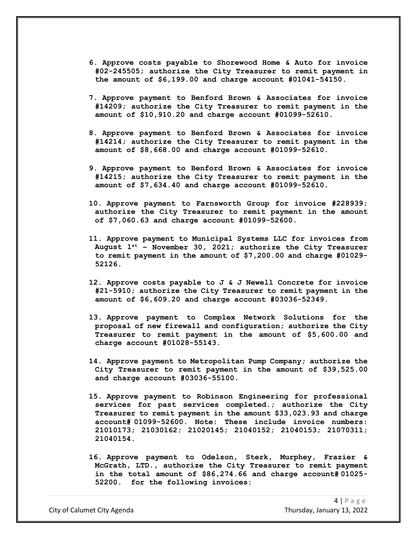- **6. Approve costs payable to Shorewood Home & Auto for invoice #02-245505; authorize the City Treasurer to remit payment in the amount of \$6,199.00 and charge account #01041-54150.**
- **7. Approve payment to Benford Brown & Associates for invoice #14209; authorize the City Treasurer to remit payment in the amount of \$10,910.20 and charge account #01099-52610.**
- **8. Approve payment to Benford Brown & Associates for invoice #14214; authorize the City Treasurer to remit payment in the amount of \$8,668.00 and charge account #01099-52610.**
- **9. Approve payment to Benford Brown & Associates for invoice #14215; authorize the City Treasurer to remit payment in the amount of \$7,634.40 and charge account #01099-52610.**
- **10. Approve payment to Farnsworth Group for invoice #228939; authorize the City Treasurer to remit payment in the amount of \$7,060.63 and charge account #01099-52600.**
- **11. Approve payment to Municipal Systems LLC for invoices from August 1st – November 30, 2021; authorize the City Treasurer to remit payment in the amount of \$7,200.00 and charge #01029- 52126.**
- **12. Approve costs payable to J & J Newell Concrete for invoice #21-5910; authorize the City Treasurer to remit payment in the amount of \$6,609.20 and charge account #03036-52349.**
- **13. Approve payment to Complex Network Solutions for the proposal of new firewall and configuration; authorize the City Treasurer to remit payment in the amount of \$5,600.00 and charge account #01028-55143.**
- **14. Approve payment to Metropolitan Pump Company; authorize the City Treasurer to remit payment in the amount of \$39,525.00 and charge account #03036-55100.**
- **15. Approve payment to Robinson Engineering for professional services for past services completed.; authorize the City Treasurer to remit payment in the amount \$33,023.93 and charge account# 01099-52600. Note: These include invoice numbers: 21010173; 21030162; 21020145; 21040152; 21040153; 21070311; 21040154.**
- **16. Approve payment to Odelson, Sterk, Murphey, Frazier & McGrath, LTD., authorize the City Treasurer to remit payment in the total amount of \$86,274.66 and charge account# 01025- 52200. for the following invoices:**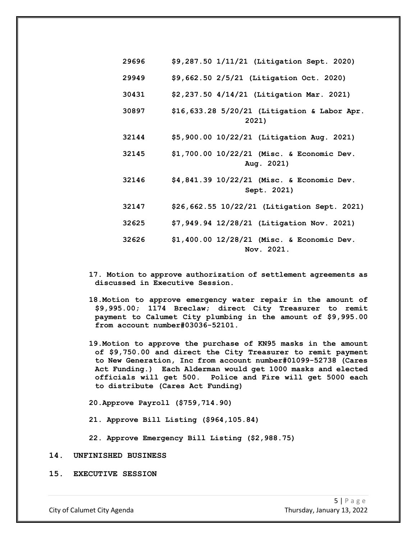| 29696 | \$9,287.50 1/11/21 (Litigation Sept. 2020)                |
|-------|-----------------------------------------------------------|
| 29949 | \$9,662.50 2/5/21 (Litigation Oct. 2020)                  |
| 30431 | \$2,237.50 4/14/21 (Litigation Mar. 2021)                 |
| 30897 | \$16,633.28 5/20/21 (Litigation & Labor Apr.<br>2021)     |
| 32144 | \$5,900.00 10/22/21 (Litigation Aug. 2021)                |
| 32145 | \$1,700.00 10/22/21 (Misc. & Economic Dev.<br>Aug. 2021)  |
| 32146 | \$4,841.39 10/22/21 (Misc. & Economic Dev.<br>Sept. 2021) |
| 32147 | \$26,662.55 10/22/21 (Litigation Sept. 2021)              |
| 32625 | \$7,949.94 12/28/21 (Litigation Nov. 2021)                |
| 32626 | \$1,400.00 12/28/21 (Misc. & Economic Dev.<br>Nov. 2021.  |

- **17. Motion to approve authorization of settlement agreements as discussed in Executive Session.**
- **18.Motion to approve emergency water repair in the amount of \$9,995.00; 1174 Breclaw; direct City Treasurer to remit payment to Calumet City plumbing in the amount of \$9,995.00 from account number#03036-52101.**
- **19.Motion to approve the purchase of KN95 masks in the amount of \$9,750.00 and direct the City Treasurer to remit payment to New Generation, Inc from account number#01099-52738 (Cares Act Funding.) Each Alderman would get 1000 masks and elected officials will get 500. Police and Fire will get 5000 each to distribute (Cares Act Funding)**

**20.Approve Payroll (\$759,714.90)**

**21. Approve Bill Listing (\$964,105.84)**

**22. Approve Emergency Bill Listing (\$2,988.75)**

#### **14. UNFINISHED BUSINESS**

**15. EXECUTIVE SESSION**